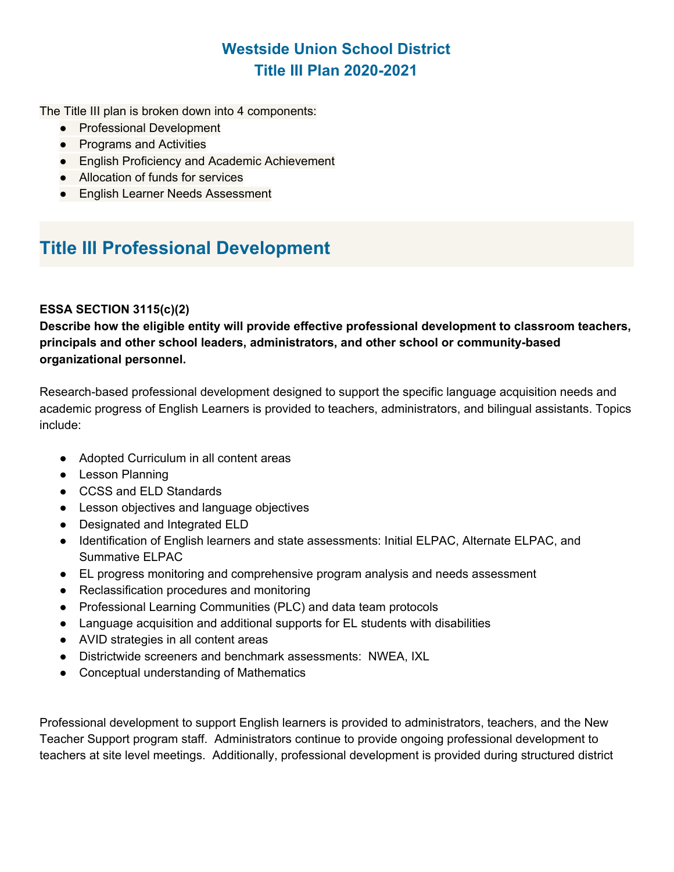The Title III plan is broken down into 4 components:

- Professional Development
- Programs and Activities
- English Proficiency and Academic Achievement
- Allocation of funds for services
- English Learner Needs Assessment

# **Title III Professional Development**

#### **ESSA SECTION 3115(c)(2)**

**Describe how the eligible entity will provide effective professional development to classroom teachers, principals and other school leaders, administrators, and other school or community-based organizational personnel.**

Research-based professional development designed to support the specific language acquisition needs and academic progress of English Learners is provided to teachers, administrators, and bilingual assistants. Topics include:

- Adopted Curriculum in all content areas
- Lesson Planning
- CCSS and ELD Standards
- Lesson objectives and language objectives
- Designated and Integrated ELD
- Identification of English learners and state assessments: Initial ELPAC, Alternate ELPAC, and Summative ELPAC
- EL progress monitoring and comprehensive program analysis and needs assessment
- Reclassification procedures and monitoring
- Professional Learning Communities (PLC) and data team protocols
- Language acquisition and additional supports for EL students with disabilities
- AVID strategies in all content areas
- Districtwide screeners and benchmark assessments: NWEA, IXL
- Conceptual understanding of Mathematics

Professional development to support English learners is provided to administrators, teachers, and the New Teacher Support program staff. Administrators continue to provide ongoing professional development to teachers at site level meetings. Additionally, professional development is provided during structured district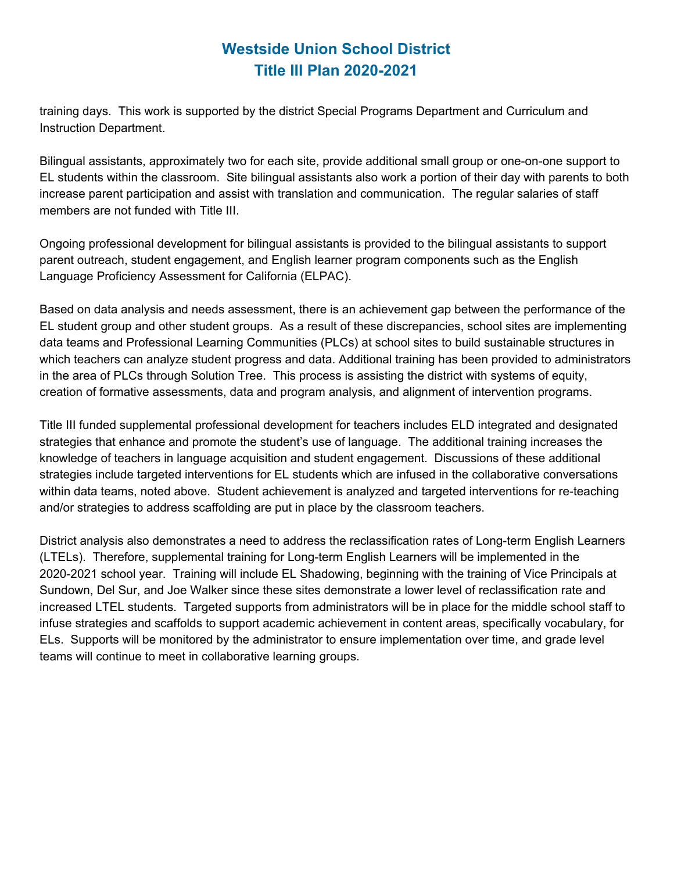training days. This work is supported by the district Special Programs Department and Curriculum and Instruction Department.

Bilingual assistants, approximately two for each site, provide additional small group or one-on-one support to EL students within the classroom. Site bilingual assistants also work a portion of their day with parents to both increase parent participation and assist with translation and communication. The regular salaries of staff members are not funded with Title III.

Ongoing professional development for bilingual assistants is provided to the bilingual assistants to support parent outreach, student engagement, and English learner program components such as the English Language Proficiency Assessment for California (ELPAC).

Based on data analysis and needs assessment, there is an achievement gap between the performance of the EL student group and other student groups. As a result of these discrepancies, school sites are implementing data teams and Professional Learning Communities (PLCs) at school sites to build sustainable structures in which teachers can analyze student progress and data. Additional training has been provided to administrators in the area of PLCs through Solution Tree. This process is assisting the district with systems of equity, creation of formative assessments, data and program analysis, and alignment of intervention programs.

Title III funded supplemental professional development for teachers includes ELD integrated and designated strategies that enhance and promote the student's use of language. The additional training increases the knowledge of teachers in language acquisition and student engagement. Discussions of these additional strategies include targeted interventions for EL students which are infused in the collaborative conversations within data teams, noted above. Student achievement is analyzed and targeted interventions for re-teaching and/or strategies to address scaffolding are put in place by the classroom teachers.

District analysis also demonstrates a need to address the reclassification rates of Long-term English Learners (LTELs). Therefore, supplemental training for Long-term English Learners will be implemented in the 2020-2021 school year. Training will include EL Shadowing, beginning with the training of Vice Principals at Sundown, Del Sur, and Joe Walker since these sites demonstrate a lower level of reclassification rate and increased LTEL students. Targeted supports from administrators will be in place for the middle school staff to infuse strategies and scaffolds to support academic achievement in content areas, specifically vocabulary, for ELs. Supports will be monitored by the administrator to ensure implementation over time, and grade level teams will continue to meet in collaborative learning groups.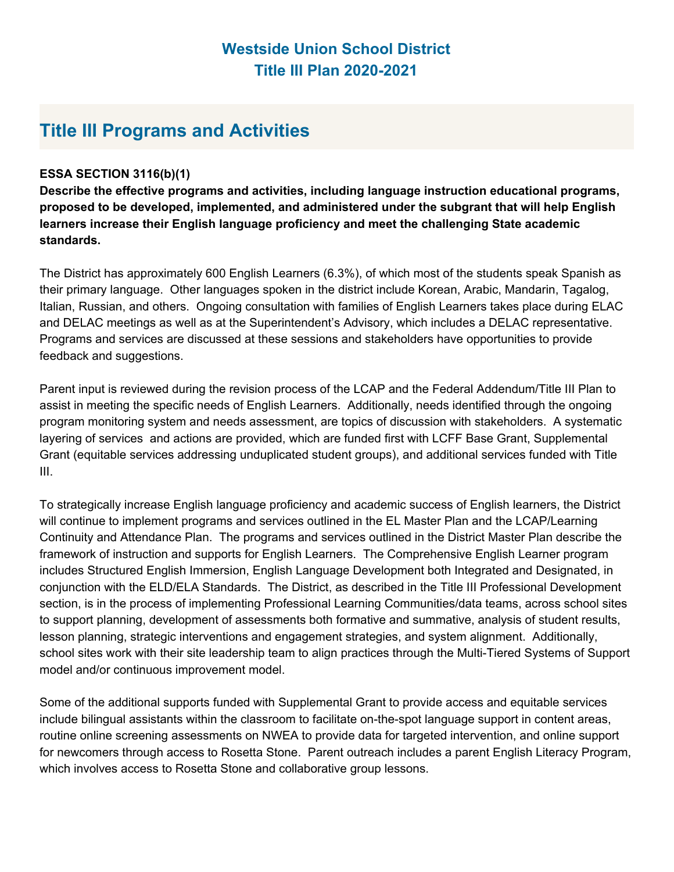## **Title III Programs and Activities**

#### **ESSA SECTION 3116(b)(1)**

**Describe the effective programs and activities, including language instruction educational programs, proposed to be developed, implemented, and administered under the subgrant that will help English learners increase their English language proficiency and meet the challenging State academic standards.**

The District has approximately 600 English Learners (6.3%), of which most of the students speak Spanish as their primary language. Other languages spoken in the district include Korean, Arabic, Mandarin, Tagalog, Italian, Russian, and others. Ongoing consultation with families of English Learners takes place during ELAC and DELAC meetings as well as at the Superintendent's Advisory, which includes a DELAC representative. Programs and services are discussed at these sessions and stakeholders have opportunities to provide feedback and suggestions.

Parent input is reviewed during the revision process of the LCAP and the Federal Addendum/Title III Plan to assist in meeting the specific needs of English Learners. Additionally, needs identified through the ongoing program monitoring system and needs assessment, are topics of discussion with stakeholders. A systematic layering of services and actions are provided, which are funded first with LCFF Base Grant, Supplemental Grant (equitable services addressing unduplicated student groups), and additional services funded with Title III.

To strategically increase English language proficiency and academic success of English learners, the District will continue to implement programs and services outlined in the EL Master Plan and the LCAP/Learning Continuity and Attendance Plan. The programs and services outlined in the District Master Plan describe the framework of instruction and supports for English Learners. The Comprehensive English Learner program includes Structured English Immersion, English Language Development both Integrated and Designated, in conjunction with the ELD/ELA Standards. The District, as described in the Title III Professional Development section, is in the process of implementing Professional Learning Communities/data teams, across school sites to support planning, development of assessments both formative and summative, analysis of student results, lesson planning, strategic interventions and engagement strategies, and system alignment. Additionally, school sites work with their site leadership team to align practices through the Multi-Tiered Systems of Support model and/or continuous improvement model.

Some of the additional supports funded with Supplemental Grant to provide access and equitable services include bilingual assistants within the classroom to facilitate on-the-spot language support in content areas, routine online screening assessments on NWEA to provide data for targeted intervention, and online support for newcomers through access to Rosetta Stone. Parent outreach includes a parent English Literacy Program, which involves access to Rosetta Stone and collaborative group lessons.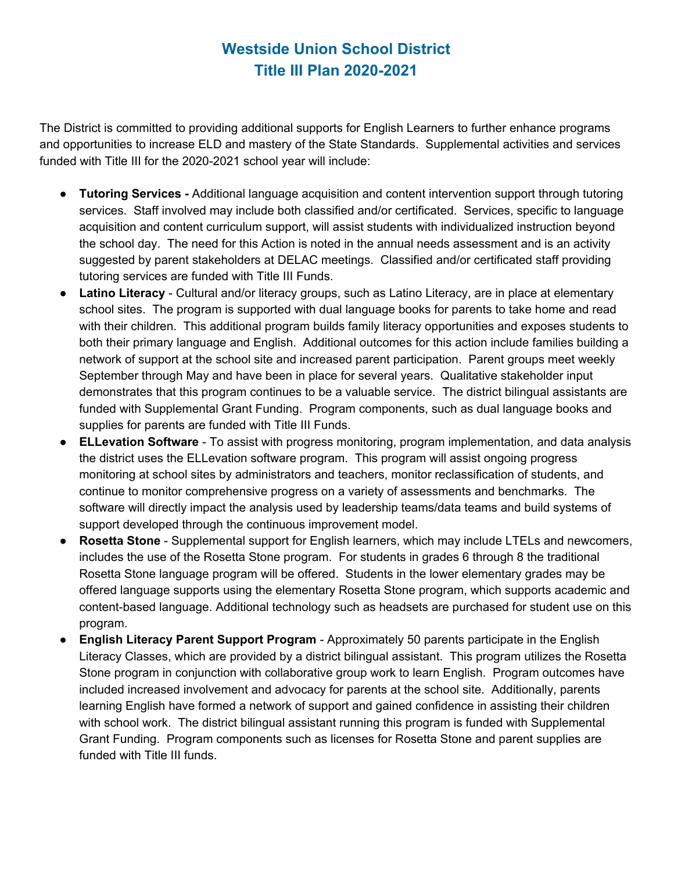The District is committed to providing additional supports for English Learners to further enhance programs and opportunities to increase ELD and mastery of the State Standards. Supplemental activities and services funded with Title III for the 2020-2021 school year will include:

- **Tutoring Services -** Additional language acquisition and content intervention support through tutoring services. Staff involved may include both classified and/or certificated. Services, specific to language acquisition and content curriculum support, will assist students with individualized instruction beyond the school day. The need for this Action is noted in the annual needs assessment and is an activity suggested by parent stakeholders at DELAC meetings. Classified and/or certificated staff providing tutoring services are funded with Title III Funds.
- **Latino Literacy** Cultural and/or literacy groups, such as Latino Literacy, are in place at elementary school sites. The program is supported with dual language books for parents to take home and read with their children. This additional program builds family literacy opportunities and exposes students to both their primary language and English. Additional outcomes for this action include families building a network of support at the school site and increased parent participation. Parent groups meet weekly September through May and have been in place for several years. Qualitative stakeholder input demonstrates that this program continues to be a valuable service. The district bilingual assistants are funded with Supplemental Grant Funding. Program components, such as dual language books and supplies for parents are funded with Title III Funds.
- **ELLevation Software** To assist with progress monitoring, program implementation, and data analysis the district uses the ELLevation software program. This program will assist ongoing progress monitoring at school sites by administrators and teachers, monitor reclassification of students, and continue to monitor comprehensive progress on a variety of assessments and benchmarks. The software will directly impact the analysis used by leadership teams/data teams and build systems of support developed through the continuous improvement model.
- **Rosetta Stone** Supplemental support for English learners, which may include LTELs and newcomers, includes the use of the Rosetta Stone program. For students in grades 6 through 8 the traditional Rosetta Stone language program will be offered. Students in the lower elementary grades may be offered language supports using the elementary Rosetta Stone program, which supports academic and content-based language. Additional technology such as headsets are purchased for student use on this program.
- **English Literacy Parent Support Program** Approximately 50 parents participate in the English Literacy Classes, which are provided by a district bilingual assistant. This program utilizes the Rosetta Stone program in conjunction with collaborative group work to learn English. Program outcomes have included increased involvement and advocacy for parents at the school site. Additionally, parents learning English have formed a network of support and gained confidence in assisting their children with school work. The district bilingual assistant running this program is funded with Supplemental Grant Funding. Program components such as licenses for Rosetta Stone and parent supplies are funded with Title III funds.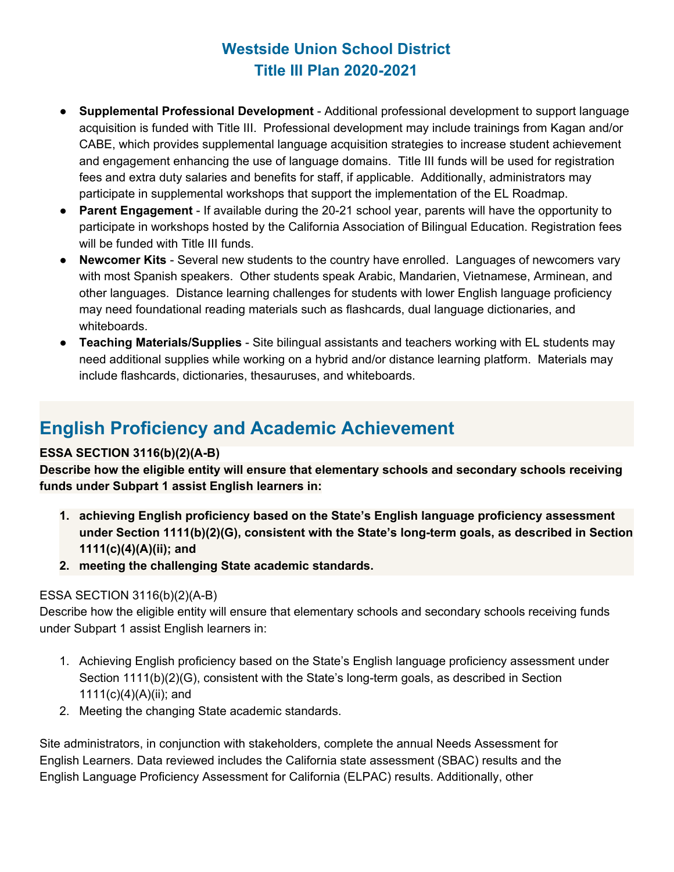- **Supplemental Professional Development** Additional professional development to support language acquisition is funded with Title III. Professional development may include trainings from Kagan and/or CABE, which provides supplemental language acquisition strategies to increase student achievement and engagement enhancing the use of language domains. Title III funds will be used for registration fees and extra duty salaries and benefits for staff, if applicable. Additionally, administrators may participate in supplemental workshops that support the implementation of the EL Roadmap.
- **Parent Engagement** If available during the 20-21 school year, parents will have the opportunity to participate in workshops hosted by the California Association of Bilingual Education. Registration fees will be funded with Title III funds.
- **Newcomer Kits** Several new students to the country have enrolled. Languages of newcomers vary with most Spanish speakers. Other students speak Arabic, Mandarien, Vietnamese, Arminean, and other languages. Distance learning challenges for students with lower English language proficiency may need foundational reading materials such as flashcards, dual language dictionaries, and whiteboards.
- **Teaching Materials/Supplies** Site bilingual assistants and teachers working with EL students may need additional supplies while working on a hybrid and/or distance learning platform. Materials may include flashcards, dictionaries, thesauruses, and whiteboards.

# **English Proficiency and Academic Achievement**

#### **ESSA SECTION 3116(b)(2)(A-B)**

**Describe how the eligible entity will ensure that elementary schools and secondary schools receiving funds under Subpart 1 assist English learners in:**

- **1. achieving English proficiency based on the State's English language proficiency assessment under Section 1111(b)(2)(G), consistent with the State's long-term goals, as described in Section 1111(c)(4)(A)(ii); and**
- **2. meeting the challenging State academic standards.**

#### ESSA SECTION 3116(b)(2)(A-B)

Describe how the eligible entity will ensure that elementary schools and secondary schools receiving funds under Subpart 1 assist English learners in:

- 1. Achieving English proficiency based on the State's English language proficiency assessment under Section 1111(b)(2)(G), consistent with the State's long-term goals, as described in Section  $1111(c)(4)(A)(ii)$ ; and
- 2. Meeting the changing State academic standards.

Site administrators, in conjunction with stakeholders, complete the annual Needs Assessment for English Learners. Data reviewed includes the California state assessment (SBAC) results and the English Language Proficiency Assessment for California (ELPAC) results. Additionally, other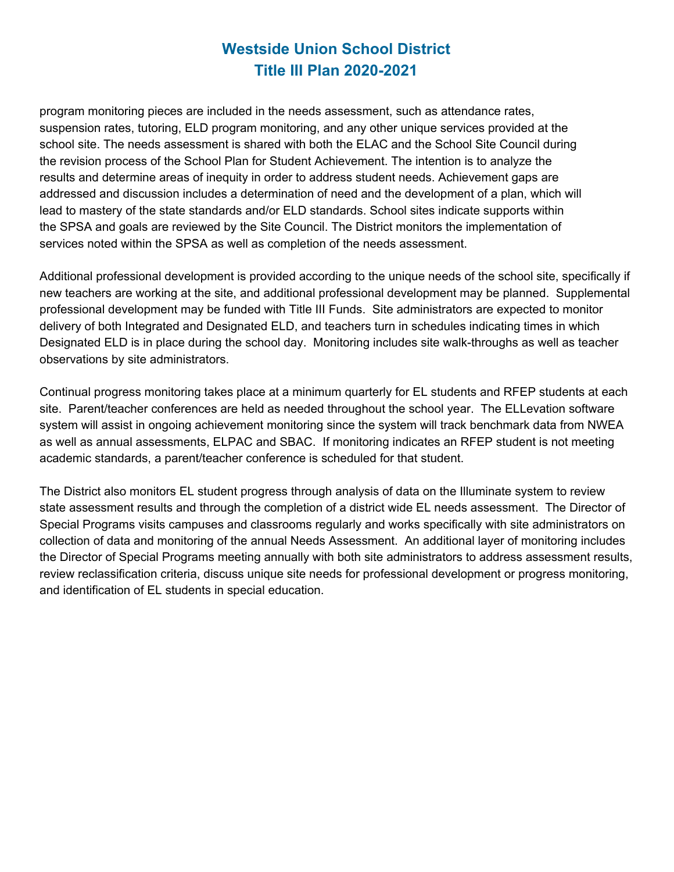program monitoring pieces are included in the needs assessment, such as attendance rates, suspension rates, tutoring, ELD program monitoring, and any other unique services provided at the school site. The needs assessment is shared with both the ELAC and the School Site Council during the revision process of the School Plan for Student Achievement. The intention is to analyze the results and determine areas of inequity in order to address student needs. Achievement gaps are addressed and discussion includes a determination of need and the development of a plan, which will lead to mastery of the state standards and/or ELD standards. School sites indicate supports within the SPSA and goals are reviewed by the Site Council. The District monitors the implementation of services noted within the SPSA as well as completion of the needs assessment.

Additional professional development is provided according to the unique needs of the school site, specifically if new teachers are working at the site, and additional professional development may be planned. Supplemental professional development may be funded with Title III Funds. Site administrators are expected to monitor delivery of both Integrated and Designated ELD, and teachers turn in schedules indicating times in which Designated ELD is in place during the school day. Monitoring includes site walk-throughs as well as teacher observations by site administrators.

Continual progress monitoring takes place at a minimum quarterly for EL students and RFEP students at each site. Parent/teacher conferences are held as needed throughout the school year. The ELLevation software system will assist in ongoing achievement monitoring since the system will track benchmark data from NWEA as well as annual assessments, ELPAC and SBAC. If monitoring indicates an RFEP student is not meeting academic standards, a parent/teacher conference is scheduled for that student.

The District also monitors EL student progress through analysis of data on the Illuminate system to review state assessment results and through the completion of a district wide EL needs assessment. The Director of Special Programs visits campuses and classrooms regularly and works specifically with site administrators on collection of data and monitoring of the annual Needs Assessment. An additional layer of monitoring includes the Director of Special Programs meeting annually with both site administrators to address assessment results, review reclassification criteria, discuss unique site needs for professional development or progress monitoring, and identification of EL students in special education.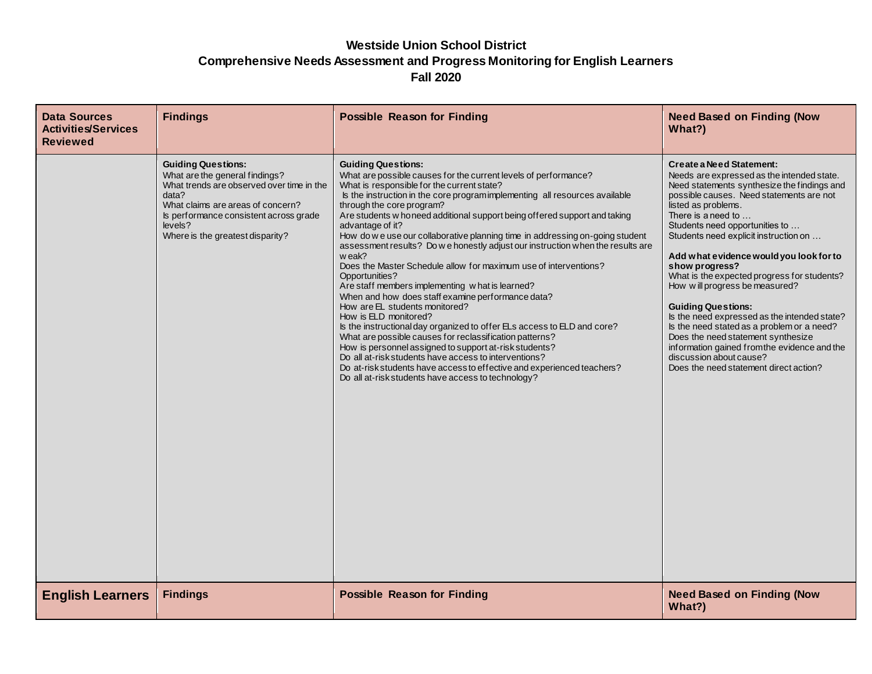#### **Westside Union School District Comprehensive Needs Assessment and Progress Monitoring for English Learners Fall 2020**

| <b>Data Sources</b><br><b>Activities/Services</b><br><b>Reviewed</b> | <b>Findings</b>                                                                                                                                                                                                                                 | <b>Possible Reason for Finding</b>                                                                                                                                                                                                                                                                                                                                                                                                                                                                                                                                                                                                                                                                                                                                                                                                                                                                                                                                                                                                                                                                                                                                                    | <b>Need Based on Finding (Now</b><br>What?)                                                                                                                                                                                                                                                                                                                                                                                                                                                                                                                                                                                                                                                                                           |
|----------------------------------------------------------------------|-------------------------------------------------------------------------------------------------------------------------------------------------------------------------------------------------------------------------------------------------|---------------------------------------------------------------------------------------------------------------------------------------------------------------------------------------------------------------------------------------------------------------------------------------------------------------------------------------------------------------------------------------------------------------------------------------------------------------------------------------------------------------------------------------------------------------------------------------------------------------------------------------------------------------------------------------------------------------------------------------------------------------------------------------------------------------------------------------------------------------------------------------------------------------------------------------------------------------------------------------------------------------------------------------------------------------------------------------------------------------------------------------------------------------------------------------|---------------------------------------------------------------------------------------------------------------------------------------------------------------------------------------------------------------------------------------------------------------------------------------------------------------------------------------------------------------------------------------------------------------------------------------------------------------------------------------------------------------------------------------------------------------------------------------------------------------------------------------------------------------------------------------------------------------------------------------|
|                                                                      | <b>Guiding Questions:</b><br>What are the general findings?<br>What trends are observed over time in the<br>data?<br>What claims are areas of concern?<br>Is performance consistent across grade<br>levels?<br>Where is the greatest disparity? | <b>Guiding Questions:</b><br>What are possible causes for the current levels of performance?<br>What is responsible for the current state?<br>Is the instruction in the core program implementing all resources available<br>through the core program?<br>Are students w honeed additional support being offered support and taking<br>advantage of it?<br>How do we use our collaborative planning time in addressing on-going student<br>assessment results? Do we honestly adjust our instruction when the results are<br>w eak?<br>Does the Master Schedule allow for maximum use of interventions?<br>Opportunities?<br>Are staff members implementing what is learned?<br>When and how does staff examine performance data?<br>How are EL students monitored?<br>How is ELD monitored?<br>Is the instructional day organized to offer ELs access to ELD and core?<br>What are possible causes for reclassification patterns?<br>How is personnel assigned to support at-risk students?<br>Do all at-risk students have access to interventions?<br>Do at-risk students have access to effective and experienced teachers?<br>Do all at-risk students have access to technology? | Create a Need Statement:<br>Needs are expressed as the intended state.<br>Need statements synthesize the findings and<br>possible causes. Need statements are not<br>listed as problems.<br>There is a need to $\dots$<br>Students need opportunities to<br>Students need explicit instruction on<br>Add what evidence would you look for to<br>show progress?<br>What is the expected progress for students?<br>How will progress be measured?<br><b>Guiding Questions:</b><br>Is the need expressed as the intended state?<br>Is the need stated as a problem or a need?<br>Does the need statement synthesize<br>information gained from the evidence and the<br>discussion about cause?<br>Does the need statement direct action? |
| <b>English Learners</b>                                              | <b>Findings</b>                                                                                                                                                                                                                                 | <b>Possible Reason for Finding</b>                                                                                                                                                                                                                                                                                                                                                                                                                                                                                                                                                                                                                                                                                                                                                                                                                                                                                                                                                                                                                                                                                                                                                    | <b>Need Based on Finding (Now</b><br>What?)                                                                                                                                                                                                                                                                                                                                                                                                                                                                                                                                                                                                                                                                                           |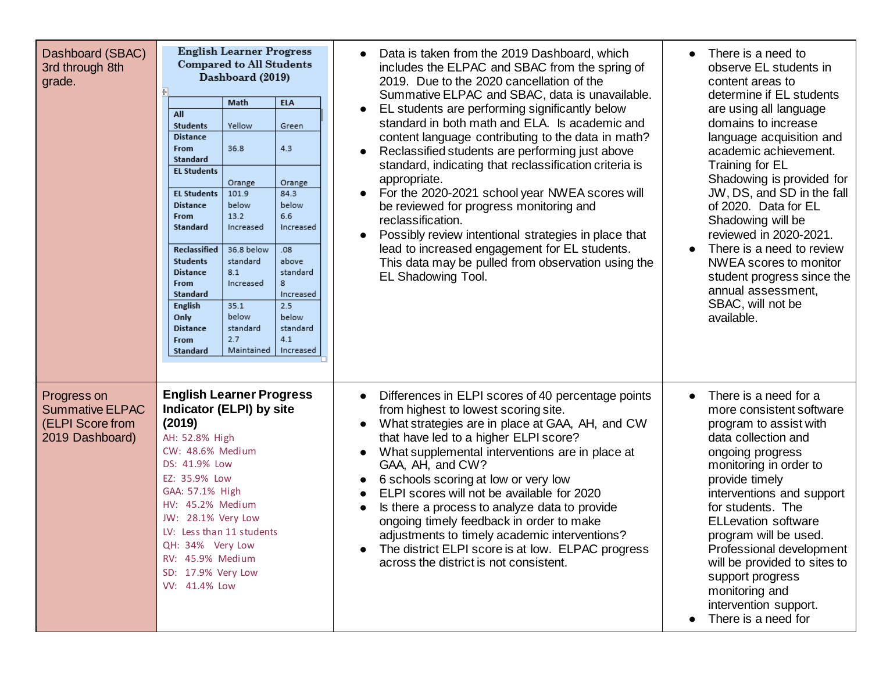| Dashboard (SBAC)<br>3rd through 8th<br>grade.                                | <b>English Learner Progress</b><br><b>Compared to All Students</b><br>Dashboard (2019)<br><b>ELA</b><br>Math<br>All<br>Yellow<br><b>Students</b><br>Green<br><b>Distance</b><br>4.3<br>36.8<br>From<br>Standard<br><b>EL Students</b><br>Orange<br>Orange<br><b>EL Students</b><br>101.9<br>84.3<br>below<br>below<br><b>Distance</b><br>13.2<br>6.6<br>From<br>Standard<br>Increased<br>Increased<br>Reclassified<br>36.8 below<br>.08 <sub>0</sub><br><b>Students</b><br>standard<br>above<br>standard<br><b>Distance</b><br>8.1<br>8<br>From<br>Increased<br><b>Standard</b><br>Increased<br>2.5<br>English<br>35.1<br>below<br>below<br>Only<br><b>Distance</b><br>standard<br>standard<br>2.7<br>4.1<br>From<br>Maintained<br>Increased<br>Standard | Data is taken from the 2019 Dashboard, which<br>includes the ELPAC and SBAC from the spring of<br>2019. Due to the 2020 cancellation of the<br>Summative ELPAC and SBAC, data is unavailable.<br>EL students are performing significantly below<br>$\bullet$<br>standard in both math and ELA. Is academic and<br>content language contributing to the data in math?<br>Reclassified students are performing just above<br>standard, indicating that reclassification criteria is<br>appropriate.<br>For the 2020-2021 school year NWEA scores will<br>be reviewed for progress monitoring and<br>reclassification.<br>Possibly review intentional strategies in place that<br>lead to increased engagement for EL students.<br>This data may be pulled from observation using the<br>EL Shadowing Tool. | There is a need to<br>observe EL students in<br>content areas to<br>determine if EL students<br>are using all language<br>domains to increase<br>language acquisition and<br>academic achievement.<br>Training for EL<br>Shadowing is provided for<br>JW, DS, and SD in the fall<br>of 2020. Data for EL<br>Shadowing will be<br>reviewed in 2020-2021.<br>There is a need to review<br>$\bullet$<br>NWEA scores to monitor<br>student progress since the<br>annual assessment,<br>SBAC, will not be<br>available. |
|------------------------------------------------------------------------------|----------------------------------------------------------------------------------------------------------------------------------------------------------------------------------------------------------------------------------------------------------------------------------------------------------------------------------------------------------------------------------------------------------------------------------------------------------------------------------------------------------------------------------------------------------------------------------------------------------------------------------------------------------------------------------------------------------------------------------------------------------|----------------------------------------------------------------------------------------------------------------------------------------------------------------------------------------------------------------------------------------------------------------------------------------------------------------------------------------------------------------------------------------------------------------------------------------------------------------------------------------------------------------------------------------------------------------------------------------------------------------------------------------------------------------------------------------------------------------------------------------------------------------------------------------------------------|--------------------------------------------------------------------------------------------------------------------------------------------------------------------------------------------------------------------------------------------------------------------------------------------------------------------------------------------------------------------------------------------------------------------------------------------------------------------------------------------------------------------|
| Progress on<br><b>Summative ELPAC</b><br>(ELPI Score from<br>2019 Dashboard) | <b>English Learner Progress</b><br><b>Indicator (ELPI) by site</b><br>(2019)<br>AH: 52.8% High<br>CW: 48.6% Medium<br>DS: 41.9% Low<br>EZ: 35.9% Low<br>GAA: 57.1% High<br>HV: 45.2% Medium<br>JW: 28.1% Very Low<br>LV: Less than 11 students<br>QH: 34% Very Low<br>RV: 45.9% Medium<br>SD: 17.9% Very Low<br>VV: 41.4% Low                                                                                                                                                                                                                                                                                                                                                                                                                            | Differences in ELPI scores of 40 percentage points<br>$\bullet$<br>from highest to lowest scoring site.<br>What strategies are in place at GAA, AH, and CW<br>that have led to a higher ELPI score?<br>What supplemental interventions are in place at<br>GAA, AH, and CW?<br>6 schools scoring at low or very low<br>ELPI scores will not be available for 2020<br>Is there a process to analyze data to provide<br>ongoing timely feedback in order to make<br>adjustments to timely academic interventions?<br>The district ELPI score is at low. ELPAC progress<br>across the district is not consistent.                                                                                                                                                                                            | There is a need for a<br>$\bullet$<br>more consistent software<br>program to assist with<br>data collection and<br>ongoing progress<br>monitoring in order to<br>provide timely<br>interventions and support<br>for students. The<br><b>ELLevation software</b><br>program will be used.<br>Professional development<br>will be provided to sites to<br>support progress<br>monitoring and<br>intervention support.<br>There is a need for                                                                         |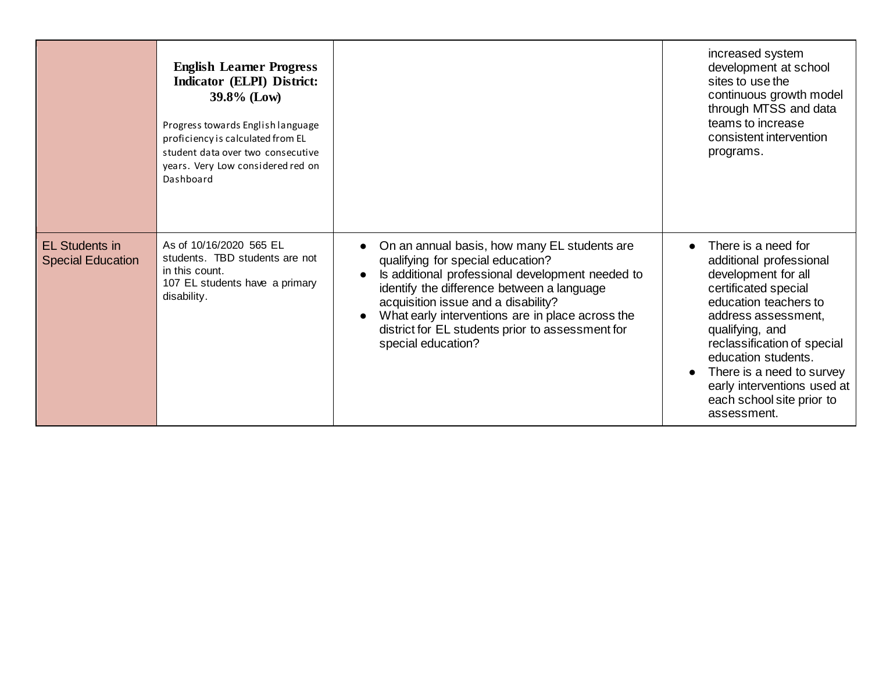|                                                   | <b>English Learner Progress</b><br>Indicator (ELPI) District:<br>$39.8\%$ (Low)<br>Progress towards English language<br>proficiency is calculated from EL<br>student data over two consecutive<br>years. Very Low considered red on<br>Dashboard |                                                                                                                                                                                                                                                                                                                                                          | increased system<br>development at school<br>sites to use the<br>continuous growth model<br>through MTSS and data<br>teams to increase<br>consistent intervention<br>programs.                                                                                                                                                 |
|---------------------------------------------------|--------------------------------------------------------------------------------------------------------------------------------------------------------------------------------------------------------------------------------------------------|----------------------------------------------------------------------------------------------------------------------------------------------------------------------------------------------------------------------------------------------------------------------------------------------------------------------------------------------------------|--------------------------------------------------------------------------------------------------------------------------------------------------------------------------------------------------------------------------------------------------------------------------------------------------------------------------------|
| <b>EL Students in</b><br><b>Special Education</b> | As of 10/16/2020 565 EL<br>students. TBD students are not<br>in this count.<br>107 EL students have a primary<br>disability.                                                                                                                     | On an annual basis, how many EL students are<br>qualifying for special education?<br>Is additional professional development needed to<br>identify the difference between a language<br>acquisition issue and a disability?<br>What early interventions are in place across the<br>district for EL students prior to assessment for<br>special education? | There is a need for<br>additional professional<br>development for all<br>certificated special<br>education teachers to<br>address assessment,<br>qualifying, and<br>reclassification of special<br>education students.<br>There is a need to survey<br>early interventions used at<br>each school site prior to<br>assessment. |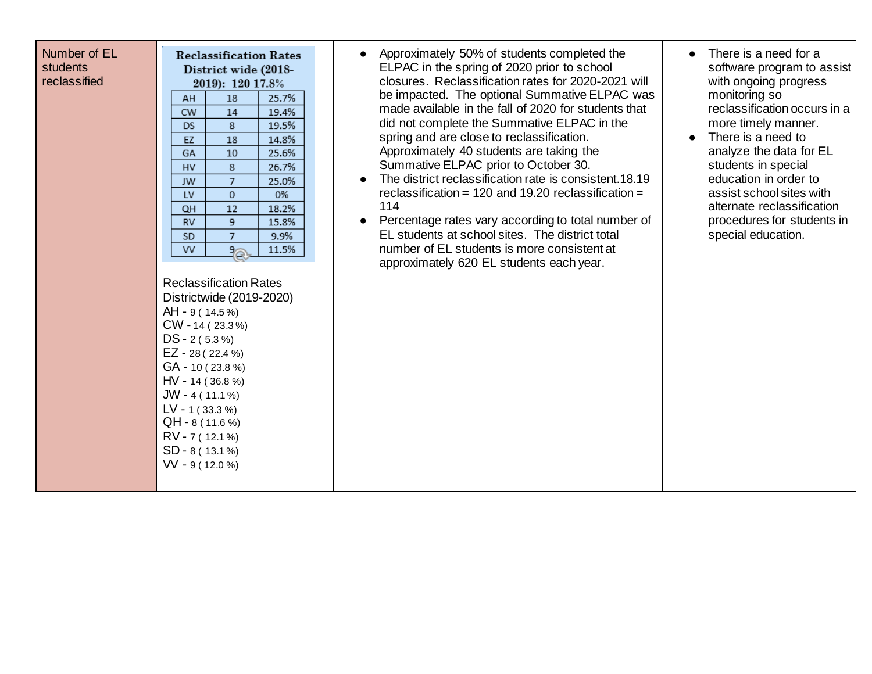| Number of EL |
|--------------|
| students     |
| reclassified |

| <b>Reclassification Rates</b>                                                                                                                              |                  |                  |       |  |
|------------------------------------------------------------------------------------------------------------------------------------------------------------|------------------|------------------|-------|--|
| District wide (2018-                                                                                                                                       |                  |                  |       |  |
|                                                                                                                                                            |                  | 2019): 120 17.8% |       |  |
|                                                                                                                                                            | AH               | 18               | 25.7% |  |
|                                                                                                                                                            | <b>CW</b>        | 14               | 19.4% |  |
|                                                                                                                                                            | DS               | 8                | 19.5% |  |
|                                                                                                                                                            | EZ               | 18               | 14.8% |  |
|                                                                                                                                                            | GA               | 10               | 25.6% |  |
|                                                                                                                                                            | HV               | 8                | 26.7% |  |
|                                                                                                                                                            | JW               | 7                | 25.0% |  |
|                                                                                                                                                            | LV               | 0                | 0%    |  |
|                                                                                                                                                            | QН               | 12               | 18.2% |  |
|                                                                                                                                                            | <b>RV</b>        | 9                | 15.8% |  |
|                                                                                                                                                            | SD               | 7                | 9.9%  |  |
|                                                                                                                                                            | ٧V               | 9                | 11.5% |  |
| <b>Reclassification Rates</b><br>Districtwide (2019-2020)<br>AH - 9 (14.5%)<br>$CW - 14 (23.3%)$<br>$DS - 2(5.3%)$<br>$EZ - 28(22.4%)$<br>$GA - 10(23.8%)$ |                  |                  |       |  |
| $HV - 14(36.8%)$                                                                                                                                           |                  |                  |       |  |
| $JW - 4(11.1\%)$                                                                                                                                           |                  |                  |       |  |
| $LV - 1 (33.3%)$                                                                                                                                           |                  |                  |       |  |
| QH - 8 (11.6 %)                                                                                                                                            |                  |                  |       |  |
|                                                                                                                                                            | $RV - 7(12.1%)$  |                  |       |  |
|                                                                                                                                                            | SD - 8 ( 13.1 %) |                  |       |  |

VV - 9 ( 12.0 %)

- Approximately 50% of students completed the ELPAC in the spring of 2020 prior to school closures. Reclassification rates for 2020-2021 will be impacted. The optional Summative ELPAC was made available in the fall of 2020 for students that did not complete the Summative ELPAC in the spring and are close to reclassification. Approximately 40 students are taking the Summative ELPAC prior to October 30.
- The district reclassification rate is consistent.18.19 reclassification = 120 and 19.20 reclassification = 114
- Percentage rates vary according to total number of EL students at school sites. The district total number of EL students is more consistent at approximately 620 EL students each year.
- There is a need for a software program to assist with ongoing progress monitoring so reclassification occurs in a more timely manner.
- There is a need to analyze the data for EL students in special education in order to assist school sites with alternate reclassification procedures for students in special education.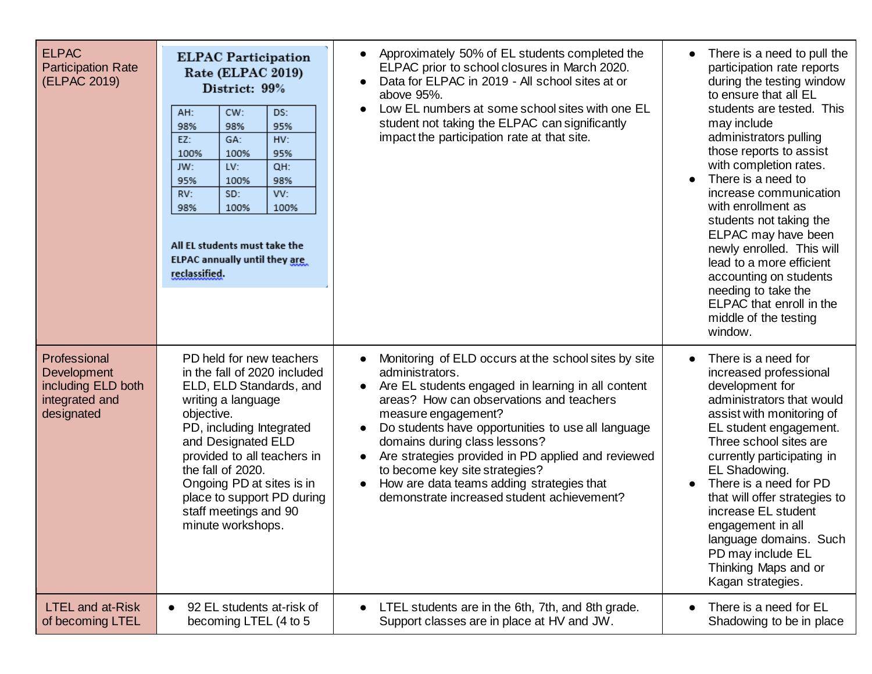| <b>ELPAC</b><br><b>Participation Rate</b><br>(ELPAC 2019)                         | <b>ELPAC Participation</b><br>Rate (ELPAC 2019)<br>District: 99%<br>AH:<br>CW:<br>DS:<br>95%<br>98%<br>98%<br>HV:<br>EZ:<br>GA:<br>100%<br>100%<br>95%<br>LV:<br>QH:<br>JW:<br>95%<br>100%<br>98%<br>SD:<br>VV:<br>RV:<br>98%<br>100%<br>100%<br>All EL students must take the<br>ELPAC annually until they are<br>reclassified.       | Approximately 50% of EL students completed the<br>ELPAC prior to school closures in March 2020.<br>Data for ELPAC in 2019 - All school sites at or<br>above 95%.<br>Low EL numbers at some school sites with one EL<br>$\bullet$<br>student not taking the ELPAC can significantly<br>impact the participation rate at that site.                                                                                                                                                                    | There is a need to pull the<br>participation rate reports<br>during the testing window<br>to ensure that all EL<br>students are tested. This<br>may include<br>administrators pulling<br>those reports to assist<br>with completion rates.<br>There is a need to<br>increase communication<br>with enrollment as<br>students not taking the<br>ELPAC may have been<br>newly enrolled. This will<br>lead to a more efficient<br>accounting on students<br>needing to take the<br>ELPAC that enroll in the<br>middle of the testing<br>window. |
|-----------------------------------------------------------------------------------|----------------------------------------------------------------------------------------------------------------------------------------------------------------------------------------------------------------------------------------------------------------------------------------------------------------------------------------|------------------------------------------------------------------------------------------------------------------------------------------------------------------------------------------------------------------------------------------------------------------------------------------------------------------------------------------------------------------------------------------------------------------------------------------------------------------------------------------------------|----------------------------------------------------------------------------------------------------------------------------------------------------------------------------------------------------------------------------------------------------------------------------------------------------------------------------------------------------------------------------------------------------------------------------------------------------------------------------------------------------------------------------------------------|
| Professional<br>Development<br>including ELD both<br>integrated and<br>designated | PD held for new teachers<br>in the fall of 2020 included<br>ELD, ELD Standards, and<br>writing a language<br>objective.<br>PD, including Integrated<br>and Designated ELD<br>provided to all teachers in<br>the fall of 2020.<br>Ongoing PD at sites is in<br>place to support PD during<br>staff meetings and 90<br>minute workshops. | Monitoring of ELD occurs at the school sites by site<br>administrators.<br>Are EL students engaged in learning in all content<br>$\bullet$<br>areas? How can observations and teachers<br>measure engagement?<br>Do students have opportunities to use all language<br>domains during class lessons?<br>Are strategies provided in PD applied and reviewed<br>to become key site strategies?<br>How are data teams adding strategies that<br>$\bullet$<br>demonstrate increased student achievement? | There is a need for<br>increased professional<br>development for<br>administrators that would<br>assist with monitoring of<br>EL student engagement.<br>Three school sites are<br>currently participating in<br>EL Shadowing.<br>There is a need for PD<br>that will offer strategies to<br>increase EL student<br>engagement in all<br>language domains. Such<br>PD may include EL<br>Thinking Maps and or<br>Kagan strategies.                                                                                                             |
| <b>LTEL and at-Risk</b><br>of becoming LTEL                                       | 92 EL students at-risk of<br>becoming LTEL (4 to 5                                                                                                                                                                                                                                                                                     | LTEL students are in the 6th, 7th, and 8th grade.<br>Support classes are in place at HV and JW.                                                                                                                                                                                                                                                                                                                                                                                                      | There is a need for EL<br>Shadowing to be in place                                                                                                                                                                                                                                                                                                                                                                                                                                                                                           |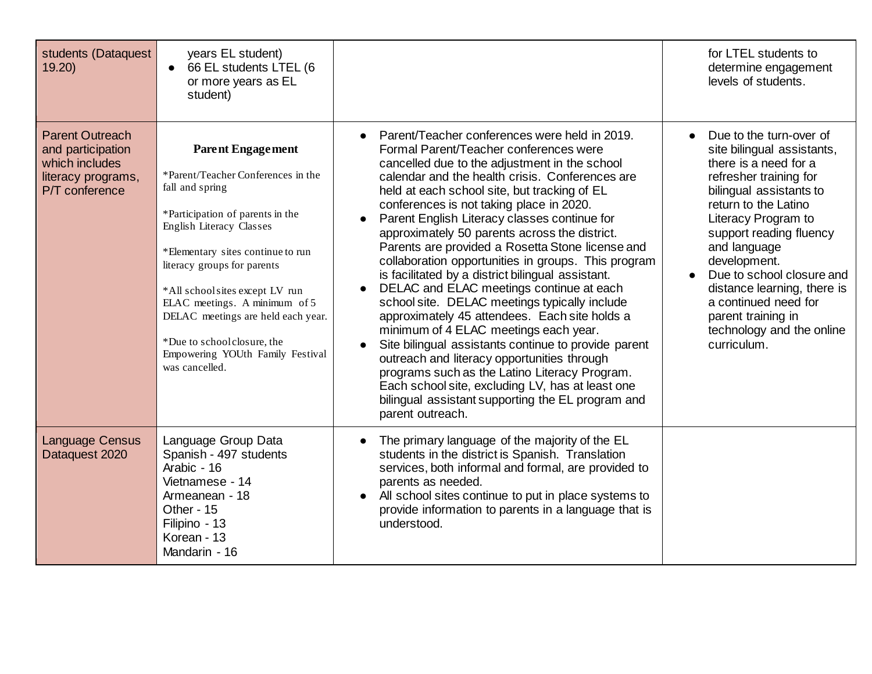| students (Dataquest<br>19.20                                                                          | years EL student)<br>66 EL students LTEL (6<br>$\bullet$<br>or more years as EL<br>student)                                                                                                                                                                                                                                                                                                                         |                                                                                                                                                                                                                                                                                                                                                                                                                                                                                                                                                                                                                                                                                                                                                                                                                                                                                                                                                                                                                                      | for LTEL students to<br>determine engagement<br>levels of students.                                                                                                                                                                                                                                                                                                                                 |
|-------------------------------------------------------------------------------------------------------|---------------------------------------------------------------------------------------------------------------------------------------------------------------------------------------------------------------------------------------------------------------------------------------------------------------------------------------------------------------------------------------------------------------------|--------------------------------------------------------------------------------------------------------------------------------------------------------------------------------------------------------------------------------------------------------------------------------------------------------------------------------------------------------------------------------------------------------------------------------------------------------------------------------------------------------------------------------------------------------------------------------------------------------------------------------------------------------------------------------------------------------------------------------------------------------------------------------------------------------------------------------------------------------------------------------------------------------------------------------------------------------------------------------------------------------------------------------------|-----------------------------------------------------------------------------------------------------------------------------------------------------------------------------------------------------------------------------------------------------------------------------------------------------------------------------------------------------------------------------------------------------|
| <b>Parent Outreach</b><br>and participation<br>which includes<br>literacy programs,<br>P/T conference | <b>Parent Engagement</b><br>*Parent/Teacher Conferences in the<br>fall and spring<br>*Participation of parents in the<br>English Literacy Classes<br>*Elementary sites continue to run<br>literacy groups for parents<br>*All schoolsites except LV run<br>ELAC meetings. A minimum of 5<br>DELAC meetings are held each year.<br>*Due to school closure, the<br>Empowering YOUth Family Festival<br>was cancelled. | Parent/Teacher conferences were held in 2019.<br>Formal Parent/Teacher conferences were<br>cancelled due to the adjustment in the school<br>calendar and the health crisis. Conferences are<br>held at each school site, but tracking of EL<br>conferences is not taking place in 2020.<br>Parent English Literacy classes continue for<br>approximately 50 parents across the district.<br>Parents are provided a Rosetta Stone license and<br>collaboration opportunities in groups. This program<br>is facilitated by a district bilingual assistant.<br>DELAC and ELAC meetings continue at each<br>school site. DELAC meetings typically include<br>approximately 45 attendees. Each site holds a<br>minimum of 4 ELAC meetings each year.<br>Site bilingual assistants continue to provide parent<br>outreach and literacy opportunities through<br>programs such as the Latino Literacy Program.<br>Each school site, excluding LV, has at least one<br>bilingual assistant supporting the EL program and<br>parent outreach. | Due to the turn-over of<br>site bilingual assistants,<br>there is a need for a<br>refresher training for<br>bilingual assistants to<br>return to the Latino<br>Literacy Program to<br>support reading fluency<br>and language<br>development.<br>Due to school closure and<br>distance learning, there is<br>a continued need for<br>parent training in<br>technology and the online<br>curriculum. |
| <b>Language Census</b><br>Dataquest 2020                                                              | Language Group Data<br>Spanish - 497 students<br>Arabic - 16<br>Vietnamese - 14<br>Armeanean - 18<br>Other - 15<br>Filipino - 13<br>Korean - 13<br>Mandarin - 16                                                                                                                                                                                                                                                    | The primary language of the majority of the EL<br>students in the district is Spanish. Translation<br>services, both informal and formal, are provided to<br>parents as needed.<br>All school sites continue to put in place systems to<br>provide information to parents in a language that is<br>understood.                                                                                                                                                                                                                                                                                                                                                                                                                                                                                                                                                                                                                                                                                                                       |                                                                                                                                                                                                                                                                                                                                                                                                     |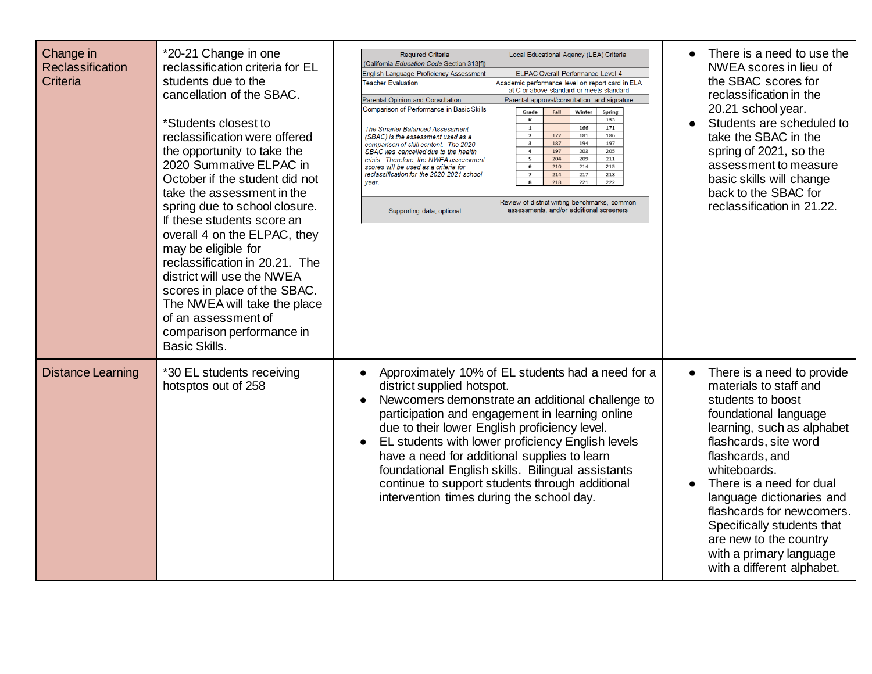| Change in<br>Reclassification<br>Criteria | *20-21 Change in one<br>reclassification criteria for EL<br>students due to the<br>cancellation of the SBAC.<br>*Students closest to<br>reclassification were offered<br>the opportunity to take the<br>2020 Summative ELPAC in<br>October if the student did not<br>take the assessment in the<br>spring due to school closure.<br>If these students score an<br>overall 4 on the ELPAC, they<br>may be eligible for<br>reclassification in 20.21. The<br>district will use the NWEA<br>scores in place of the SBAC.<br>The NWEA will take the place<br>of an assessment of<br>comparison performance in<br><b>Basic Skills.</b> | <b>Required Criteria</b><br>(California Education Code Section 313ffl)<br>English Language Proficiency Assessment<br><b>Teacher Evaluation</b><br><b>Parental Opinion and Consultation</b><br>Comparison of Performance in Basic Skills<br>The Smarter Balanced Assessment<br>(SBAC) is the assessment used as a<br>comparison of skill content. The 2020<br>SBAC was cancelled due to the health<br>crisis. Therefore, the NWEA assessment<br>scores will be used as a criteria for<br>reclassification for the 2020-2021 school<br>vear.<br>Supporting data, optional | Local Educational Agency (LEA) Criteria<br>ELPAC Overall Performance Level 4<br>Academic performance level on report card in ELA<br>at C or above standard or meets standard<br>Parental approval/consultation and signature<br>Fall<br>Winter<br>Grade<br><b>Spring</b><br>к<br>153<br>171<br>$\mathbf{1}$<br>166<br>$\overline{2}$<br>172<br>181<br>186<br>$\mathbf{3}$<br>187<br>194<br>197<br>$\overline{a}$<br>197<br>203<br>205<br>5<br>204<br>209<br>211<br>210<br>214<br>215<br>6<br>214<br>$\overline{7}$<br>217<br>218<br>218<br>221<br>222<br>Review of district writing benchmarks, common<br>assessments, and/or additional screeners | There is a need to use the<br>$\bullet$<br>NWEA scores in lieu of<br>the SBAC scores for<br>reclassification in the<br>20.21 school year.<br>Students are scheduled to<br>take the SBAC in the<br>spring of 2021, so the<br>assessment to measure<br>basic skills will change<br>back to the SBAC for<br>reclassification in 21.22.                                                                 |
|-------------------------------------------|-----------------------------------------------------------------------------------------------------------------------------------------------------------------------------------------------------------------------------------------------------------------------------------------------------------------------------------------------------------------------------------------------------------------------------------------------------------------------------------------------------------------------------------------------------------------------------------------------------------------------------------|-------------------------------------------------------------------------------------------------------------------------------------------------------------------------------------------------------------------------------------------------------------------------------------------------------------------------------------------------------------------------------------------------------------------------------------------------------------------------------------------------------------------------------------------------------------------------|----------------------------------------------------------------------------------------------------------------------------------------------------------------------------------------------------------------------------------------------------------------------------------------------------------------------------------------------------------------------------------------------------------------------------------------------------------------------------------------------------------------------------------------------------------------------------------------------------------------------------------------------------|-----------------------------------------------------------------------------------------------------------------------------------------------------------------------------------------------------------------------------------------------------------------------------------------------------------------------------------------------------------------------------------------------------|
| <b>Distance Learning</b>                  | *30 EL students receiving<br>hotsptos out of 258                                                                                                                                                                                                                                                                                                                                                                                                                                                                                                                                                                                  | Approximately 10% of EL students had a need for a<br>$\bullet$<br>district supplied hotspot.<br>Newcomers demonstrate an additional challenge to<br>participation and engagement in learning online<br>due to their lower English proficiency level.<br>EL students with lower proficiency English levels<br>have a need for additional supplies to learn<br>foundational English skills. Bilingual assistants<br>continue to support students through additional<br>intervention times during the school day.                                                          |                                                                                                                                                                                                                                                                                                                                                                                                                                                                                                                                                                                                                                                    | There is a need to provide<br>materials to staff and<br>students to boost<br>foundational language<br>learning, such as alphabet<br>flashcards, site word<br>flashcards, and<br>whiteboards.<br>There is a need for dual<br>language dictionaries and<br>flashcards for newcomers.<br>Specifically students that<br>are new to the country<br>with a primary language<br>with a different alphabet. |